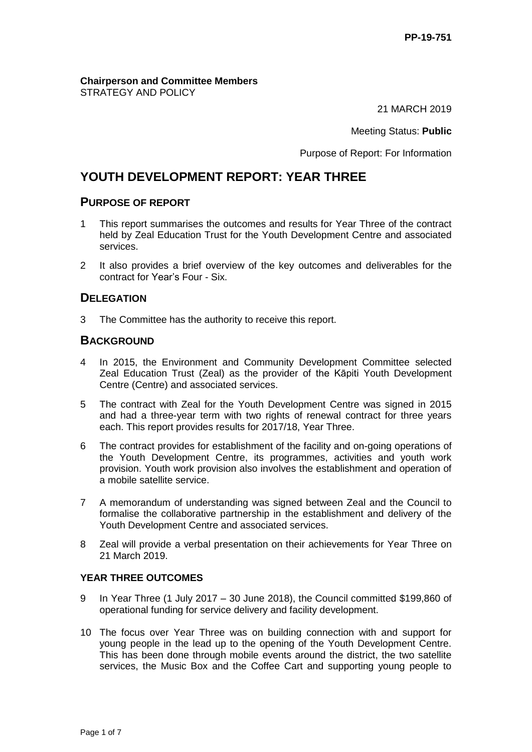#### **Chairperson and Committee Members** STRATEGY AND POLICY

21 MARCH 2019

Meeting Status: **Public**

Purpose of Report: For Information

# **YOUTH DEVELOPMENT REPORT: YEAR THREE**

### **PURPOSE OF REPORT**

- 1 This report summarises the outcomes and results for Year Three of the contract held by Zeal Education Trust for the Youth Development Centre and associated services.
- 2 It also provides a brief overview of the key outcomes and deliverables for the contract for Year's Four - Six.

# **DELEGATION**

3 The Committee has the authority to receive this report.

# **BACKGROUND**

- 4 In 2015, the Environment and Community Development Committee selected Zeal Education Trust (Zeal) as the provider of the Kāpiti Youth Development Centre (Centre) and associated services.
- 5 The contract with Zeal for the Youth Development Centre was signed in 2015 and had a three-year term with two rights of renewal contract for three years each. This report provides results for 2017/18, Year Three.
- 6 The contract provides for establishment of the facility and on-going operations of the Youth Development Centre, its programmes, activities and youth work provision. Youth work provision also involves the establishment and operation of a mobile satellite service.
- 7 A memorandum of understanding was signed between Zeal and the Council to formalise the collaborative partnership in the establishment and delivery of the Youth Development Centre and associated services.
- 8 Zeal will provide a verbal presentation on their achievements for Year Three on 21 March 2019.

### **YEAR THREE OUTCOMES**

- 9 In Year Three (1 July 2017 30 June 2018), the Council committed \$199,860 of operational funding for service delivery and facility development.
- 10 The focus over Year Three was on building connection with and support for young people in the lead up to the opening of the Youth Development Centre. This has been done through mobile events around the district, the two satellite services, the Music Box and the Coffee Cart and supporting young people to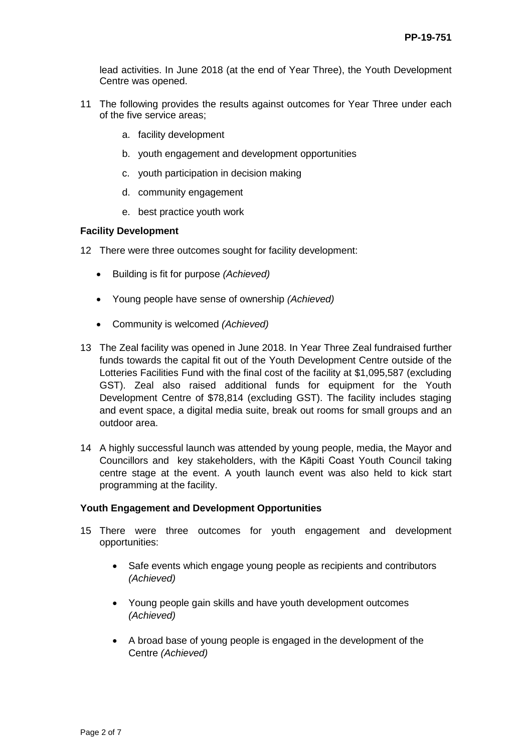lead activities. In June 2018 (at the end of Year Three), the Youth Development Centre was opened.

- 11 The following provides the results against outcomes for Year Three under each of the five service areas;
	- a. facility development
	- b. youth engagement and development opportunities
	- c. youth participation in decision making
	- d. community engagement
	- e. best practice youth work

#### **Facility Development**

- 12 There were three outcomes sought for facility development:
	- Building is fit for purpose *(Achieved)*
	- Young people have sense of ownership *(Achieved)*
	- Community is welcomed *(Achieved)*
- 13 The Zeal facility was opened in June 2018. In Year Three Zeal fundraised further funds towards the capital fit out of the Youth Development Centre outside of the Lotteries Facilities Fund with the final cost of the facility at \$1,095,587 (excluding GST). Zeal also raised additional funds for equipment for the Youth Development Centre of \$78,814 (excluding GST). The facility includes staging and event space, a digital media suite, break out rooms for small groups and an outdoor area.
- 14 A highly successful launch was attended by young people, media, the Mayor and Councillors and key stakeholders, with the Kāpiti Coast Youth Council taking centre stage at the event. A youth launch event was also held to kick start programming at the facility.

#### **Youth Engagement and Development Opportunities**

- 15 There were three outcomes for youth engagement and development opportunities:
	- Safe events which engage young people as recipients and contributors *(Achieved)*
	- Young people gain skills and have youth development outcomes *(Achieved)*
	- A broad base of young people is engaged in the development of the Centre *(Achieved)*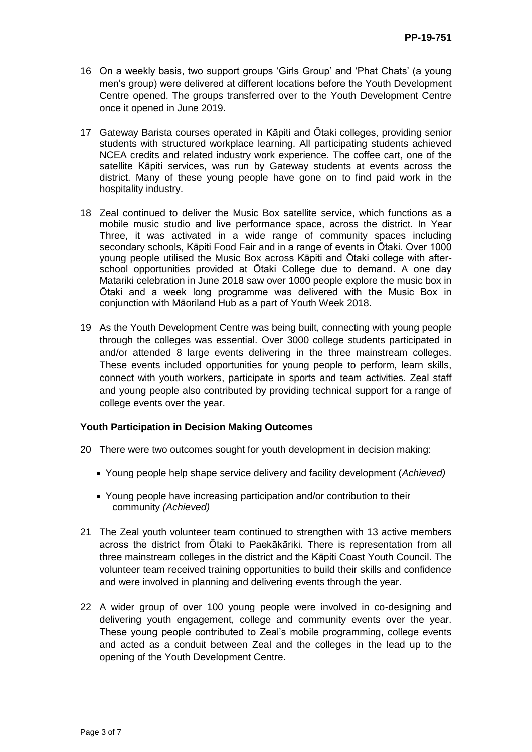- 16 On a weekly basis, two support groups 'Girls Group' and 'Phat Chats' (a young men's group) were delivered at different locations before the Youth Development Centre opened. The groups transferred over to the Youth Development Centre once it opened in June 2019.
- 17 Gateway Barista courses operated in Kāpiti and Ōtaki colleges, providing senior students with structured workplace learning. All participating students achieved NCEA credits and related industry work experience. The coffee cart, one of the satellite Kāpiti services, was run by Gateway students at events across the district. Many of these young people have gone on to find paid work in the hospitality industry.
- 18 Zeal continued to deliver the Music Box satellite service, which functions as a mobile music studio and live performance space, across the district. In Year Three, it was activated in a wide range of community spaces including secondary schools, Kāpiti Food Fair and in a range of events in Ōtaki. Over 1000 young people utilised the Music Box across Kāpiti and Ōtaki college with afterschool opportunities provided at Ōtaki College due to demand. A one day Matariki celebration in June 2018 saw over 1000 people explore the music box in Ōtaki and a week long programme was delivered with the Music Box in conjunction with Māoriland Hub as a part of Youth Week 2018.
- 19 As the Youth Development Centre was being built, connecting with young people through the colleges was essential. Over 3000 college students participated in and/or attended 8 large events delivering in the three mainstream colleges. These events included opportunities for young people to perform, learn skills, connect with youth workers, participate in sports and team activities. Zeal staff and young people also contributed by providing technical support for a range of college events over the year.

### **Youth Participation in Decision Making Outcomes**

- 20 There were two outcomes sought for youth development in decision making:
	- Young people help shape service delivery and facility development (*Achieved)*
	- Young people have increasing participation and/or contribution to their community *(Achieved)*
- 21 The Zeal youth volunteer team continued to strengthen with 13 active members across the district from Ōtaki to Paekākāriki. There is representation from all three mainstream colleges in the district and the Kāpiti Coast Youth Council. The volunteer team received training opportunities to build their skills and confidence and were involved in planning and delivering events through the year.
- 22 A wider group of over 100 young people were involved in co-designing and delivering youth engagement, college and community events over the year. These young people contributed to Zeal's mobile programming, college events and acted as a conduit between Zeal and the colleges in the lead up to the opening of the Youth Development Centre.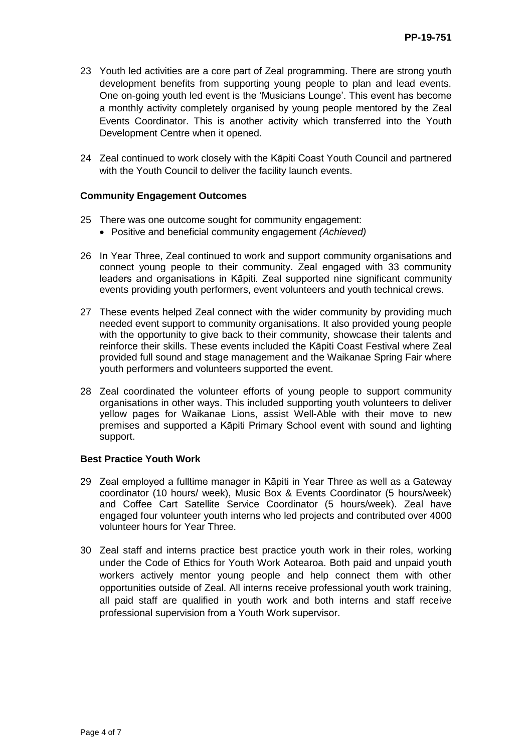- 23 Youth led activities are a core part of Zeal programming. There are strong youth development benefits from supporting young people to plan and lead events. One on-going youth led event is the 'Musicians Lounge'. This event has become a monthly activity completely organised by young people mentored by the Zeal Events Coordinator. This is another activity which transferred into the Youth Development Centre when it opened.
- 24 Zeal continued to work closely with the Kāpiti Coast Youth Council and partnered with the Youth Council to deliver the facility launch events.

#### **Community Engagement Outcomes**

- 25 There was one outcome sought for community engagement:
	- Positive and beneficial community engagement *(Achieved)*
- 26 In Year Three, Zeal continued to work and support community organisations and connect young people to their community. Zeal engaged with 33 community leaders and organisations in Kāpiti. Zeal supported nine significant community events providing youth performers, event volunteers and youth technical crews.
- 27 These events helped Zeal connect with the wider community by providing much needed event support to community organisations. It also provided young people with the opportunity to give back to their community, showcase their talents and reinforce their skills. These events included the Kāpiti Coast Festival where Zeal provided full sound and stage management and the Waikanae Spring Fair where youth performers and volunteers supported the event.
- 28 Zeal coordinated the volunteer efforts of young people to support community organisations in other ways. This included supporting youth volunteers to deliver yellow pages for Waikanae Lions, assist Well-Able with their move to new premises and supported a Kāpiti Primary School event with sound and lighting support.

#### **Best Practice Youth Work**

- 29 Zeal employed a fulltime manager in Kāpiti in Year Three as well as a Gateway coordinator (10 hours/ week), Music Box & Events Coordinator (5 hours/week) and Coffee Cart Satellite Service Coordinator (5 hours/week). Zeal have engaged four volunteer youth interns who led projects and contributed over 4000 volunteer hours for Year Three.
- 30 Zeal staff and interns practice best practice youth work in their roles, working under the Code of Ethics for Youth Work Aotearoa. Both paid and unpaid youth workers actively mentor young people and help connect them with other opportunities outside of Zeal. All interns receive professional youth work training, all paid staff are qualified in youth work and both interns and staff receive professional supervision from a Youth Work supervisor.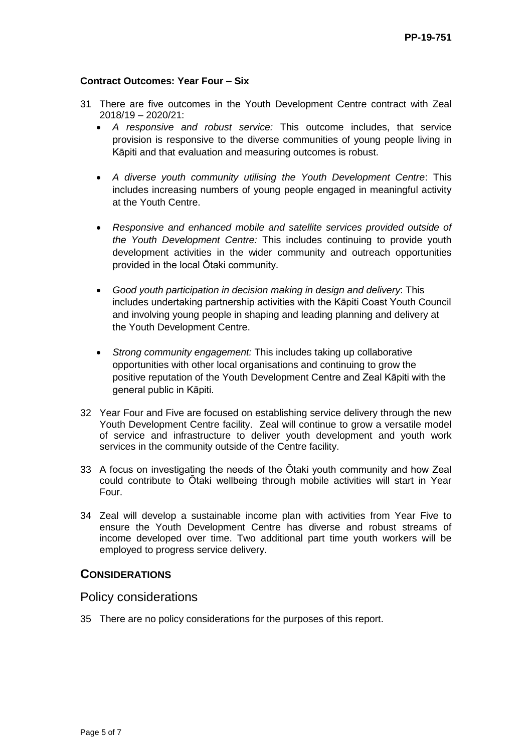#### **Contract Outcomes: Year Four – Six**

- 31 There are five outcomes in the Youth Development Centre contract with Zeal 2018/19 – 2020/21:
	- *A responsive and robust service:* This outcome includes, that service provision is responsive to the diverse communities of young people living in Kāpiti and that evaluation and measuring outcomes is robust.
	- *A diverse youth community utilising the Youth Development Centre*: This includes increasing numbers of young people engaged in meaningful activity at the Youth Centre.
	- *Responsive and enhanced mobile and satellite services provided outside of the Youth Development Centre:* This includes continuing to provide youth development activities in the wider community and outreach opportunities provided in the local Ōtaki community.
	- *Good youth participation in decision making in design and delivery*: This includes undertaking partnership activities with the Kāpiti Coast Youth Council and involving young people in shaping and leading planning and delivery at the Youth Development Centre.
	- *Strong community engagement:* This includes taking up collaborative opportunities with other local organisations and continuing to grow the positive reputation of the Youth Development Centre and Zeal Kāpiti with the general public in Kāpiti.
- 32 Year Four and Five are focused on establishing service delivery through the new Youth Development Centre facility. Zeal will continue to grow a versatile model of service and infrastructure to deliver youth development and youth work services in the community outside of the Centre facility.
- 33 A focus on investigating the needs of the Ōtaki youth community and how Zeal could contribute to Ōtaki wellbeing through mobile activities will start in Year Four.
- 34 Zeal will develop a sustainable income plan with activities from Year Five to ensure the Youth Development Centre has diverse and robust streams of income developed over time. Two additional part time youth workers will be employed to progress service delivery.

### **CONSIDERATIONS**

### Policy considerations

35 There are no policy considerations for the purposes of this report.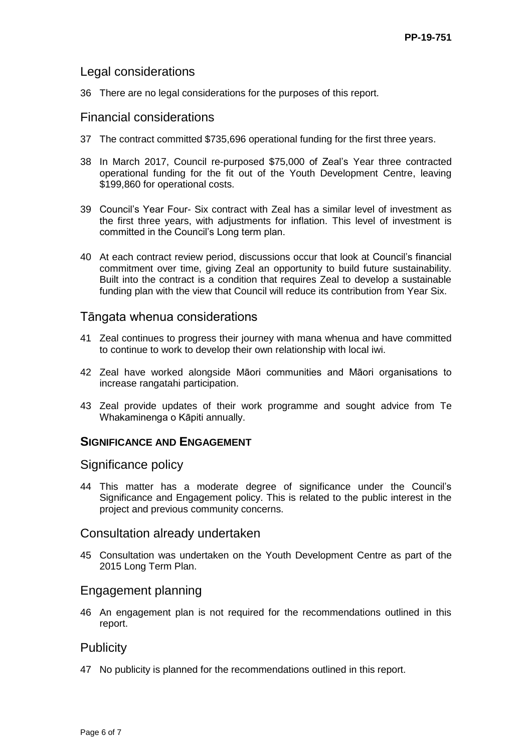# Legal considerations

36 There are no legal considerations for the purposes of this report.

### Financial considerations

- 37 The contract committed \$735,696 operational funding for the first three years.
- 38 In March 2017, Council re-purposed \$75,000 of Zeal's Year three contracted operational funding for the fit out of the Youth Development Centre, leaving \$199,860 for operational costs.
- 39 Council's Year Four- Six contract with Zeal has a similar level of investment as the first three years, with adjustments for inflation. This level of investment is committed in the Council's Long term plan.
- 40 At each contract review period, discussions occur that look at Council's financial commitment over time, giving Zeal an opportunity to build future sustainability. Built into the contract is a condition that requires Zeal to develop a sustainable funding plan with the view that Council will reduce its contribution from Year Six.

### Tāngata whenua considerations

- 41 Zeal continues to progress their journey with mana whenua and have committed to continue to work to develop their own relationship with local iwi.
- 42 Zeal have worked alongside Māori communities and Māori organisations to increase rangatahi participation.
- 43 Zeal provide updates of their work programme and sought advice from Te Whakaminenga o Kāpiti annually.

# **SIGNIFICANCE AND ENGAGEMENT**

### Significance policy

44 This matter has a moderate degree of significance under the Council's Significance and Engagement policy. This is related to the public interest in the project and previous community concerns.

### Consultation already undertaken

45 Consultation was undertaken on the Youth Development Centre as part of the 2015 Long Term Plan.

# Engagement planning

46 An engagement plan is not required for the recommendations outlined in this report.

# **Publicity**

47 No publicity is planned for the recommendations outlined in this report.